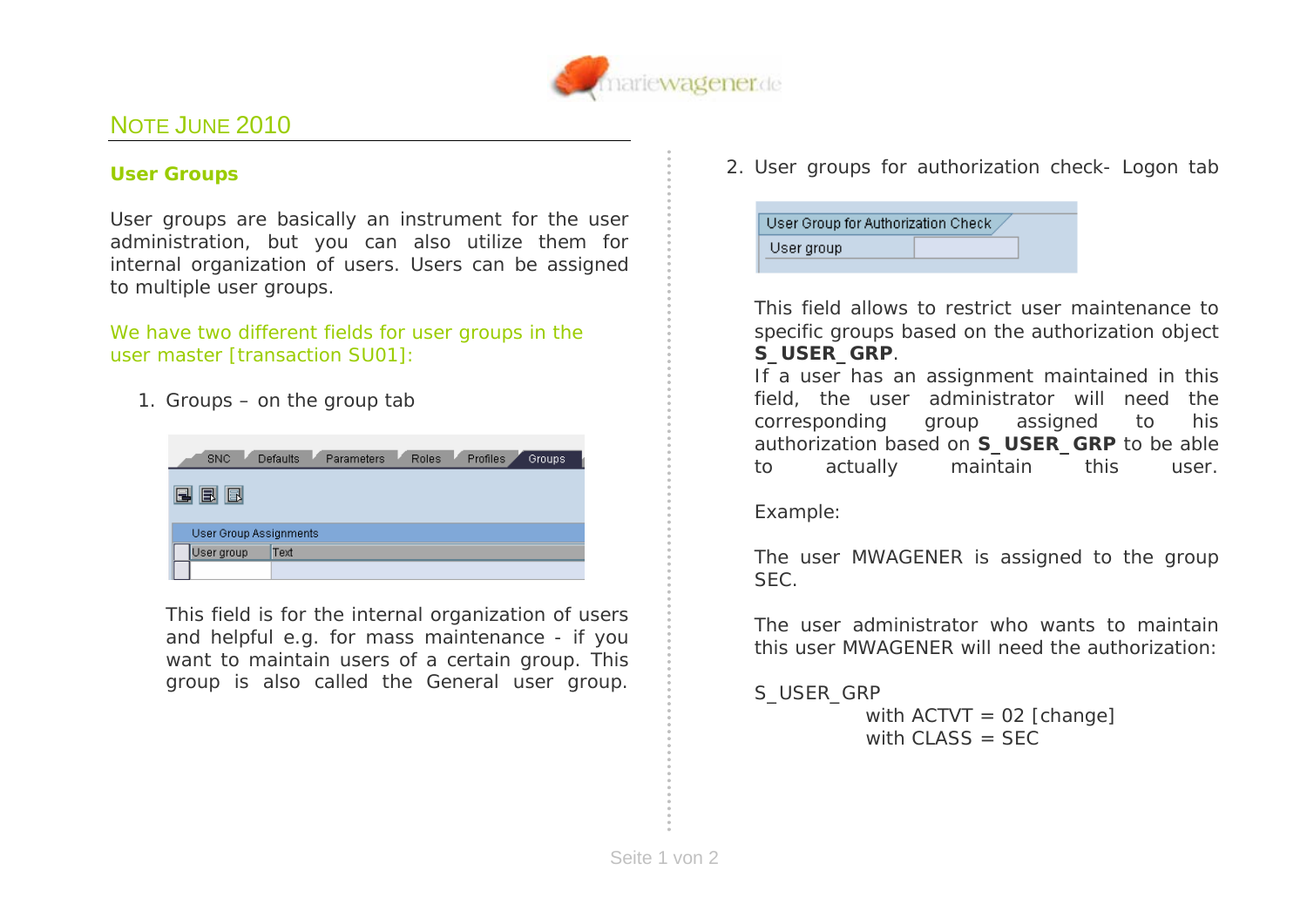

## NOTE JUNE 2010

## *User Groups*

User groups are basically an instrument for the user administration, but you can also utilize them for internal organization of users. Users can be assigned to multiple user groups.

*We have two different fields for user groups in the user master [transaction SU01]:* 

1. *Groups – on the group tab* 

| <b>SNC</b>             | Parameters<br>Defaults | Roles | Profiles | Groups. |
|------------------------|------------------------|-------|----------|---------|
| BI<br>$\blacksquare$   |                        |       |          |         |
| User Group Assignments |                        |       |          |         |
| User group             | Text                   |       |          |         |
|                        |                        |       |          |         |

This field is for the internal organization of users and helpful e.g. for mass maintenance - if you want to maintain users of a certain group. This group is also called the *General user group*.

2. *User groups for authorization check- Logon tab*

| User group | User Group for Authorization Check |  |
|------------|------------------------------------|--|
|            |                                    |  |

This field allows to restrict user maintenance to specific groups based on the authorization object **S\_USER\_GRP**.

If a user has an assignment maintained in this field, the user administrator will need the corresponding group assigned to his authorization based on **S\_USER\_GRP** to be able to actually maintain this user.

*Example*:

The user *MWAGENER* is assigned to the group *SEC*.

The user administrator who wants to maintain this user *MWAGENER* will need the authorization:

S\_USER\_GRP

 with ACTVT = *02* [change] with CLASS = *SEC*